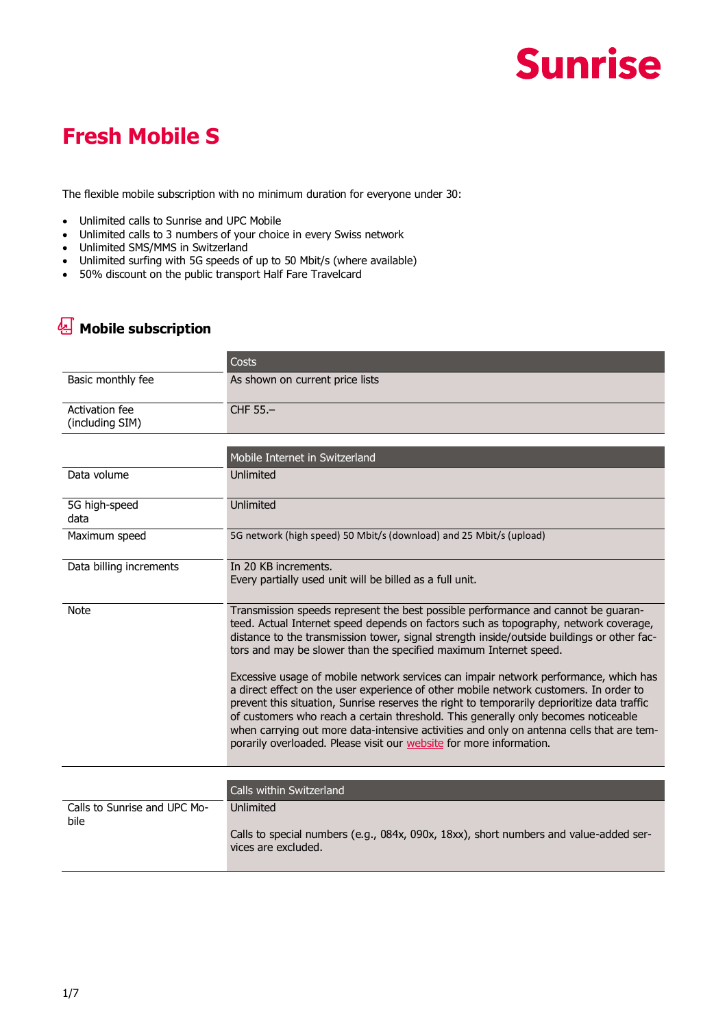

#### **Fresh Mobile S**

The flexible mobile subscription with no minimum duration for everyone under 30:

- Unlimited calls to Sunrise and UPC Mobile
- Unlimited calls to 3 numbers of your choice in every Swiss network<br>• Unlimited SMS/MMS in Switzerland
- Unlimited SMS/MMS in Switzerland
- Unlimited surfing with 5G speeds of up to 50 Mbit/s (where available)
- 50% discount on the public transport Half Fare Travelcard

#### **Mobile subscription**

|                                          | Costs                                                                                                                                                                                                                                                                                                                                                                                                                                                                                                                                 |  |  |  |
|------------------------------------------|---------------------------------------------------------------------------------------------------------------------------------------------------------------------------------------------------------------------------------------------------------------------------------------------------------------------------------------------------------------------------------------------------------------------------------------------------------------------------------------------------------------------------------------|--|--|--|
| Basic monthly fee                        | As shown on current price lists                                                                                                                                                                                                                                                                                                                                                                                                                                                                                                       |  |  |  |
| <b>Activation fee</b><br>(including SIM) | CHF 55.-                                                                                                                                                                                                                                                                                                                                                                                                                                                                                                                              |  |  |  |
|                                          |                                                                                                                                                                                                                                                                                                                                                                                                                                                                                                                                       |  |  |  |
|                                          | Mobile Internet in Switzerland                                                                                                                                                                                                                                                                                                                                                                                                                                                                                                        |  |  |  |
| Data volume                              | <b>Unlimited</b>                                                                                                                                                                                                                                                                                                                                                                                                                                                                                                                      |  |  |  |
| 5G high-speed<br>data                    | Unlimited                                                                                                                                                                                                                                                                                                                                                                                                                                                                                                                             |  |  |  |
| Maximum speed                            | 5G network (high speed) 50 Mbit/s (download) and 25 Mbit/s (upload)                                                                                                                                                                                                                                                                                                                                                                                                                                                                   |  |  |  |
| Data billing increments                  | In 20 KB increments.<br>Every partially used unit will be billed as a full unit.                                                                                                                                                                                                                                                                                                                                                                                                                                                      |  |  |  |
| <b>Note</b>                              | Transmission speeds represent the best possible performance and cannot be guaran-<br>teed. Actual Internet speed depends on factors such as topography, network coverage,<br>distance to the transmission tower, signal strength inside/outside buildings or other fac-<br>tors and may be slower than the specified maximum Internet speed.                                                                                                                                                                                          |  |  |  |
|                                          | Excessive usage of mobile network services can impair network performance, which has<br>a direct effect on the user experience of other mobile network customers. In order to<br>prevent this situation, Sunrise reserves the right to temporarily deprioritize data traffic<br>of customers who reach a certain threshold. This generally only becomes noticeable<br>when carrying out more data-intensive activities and only on antenna cells that are tem-<br>porarily overloaded. Please visit our website for more information. |  |  |  |
|                                          |                                                                                                                                                                                                                                                                                                                                                                                                                                                                                                                                       |  |  |  |
|                                          | <b>Calls within Switzerland</b>                                                                                                                                                                                                                                                                                                                                                                                                                                                                                                       |  |  |  |
| Calls to Sunrise and UPC Mo-<br>bile     | Unlimited                                                                                                                                                                                                                                                                                                                                                                                                                                                                                                                             |  |  |  |
|                                          | Calls to special numbers (e.g., 084x, 090x, 18xx), short numbers and value-added ser-<br>vices are excluded.                                                                                                                                                                                                                                                                                                                                                                                                                          |  |  |  |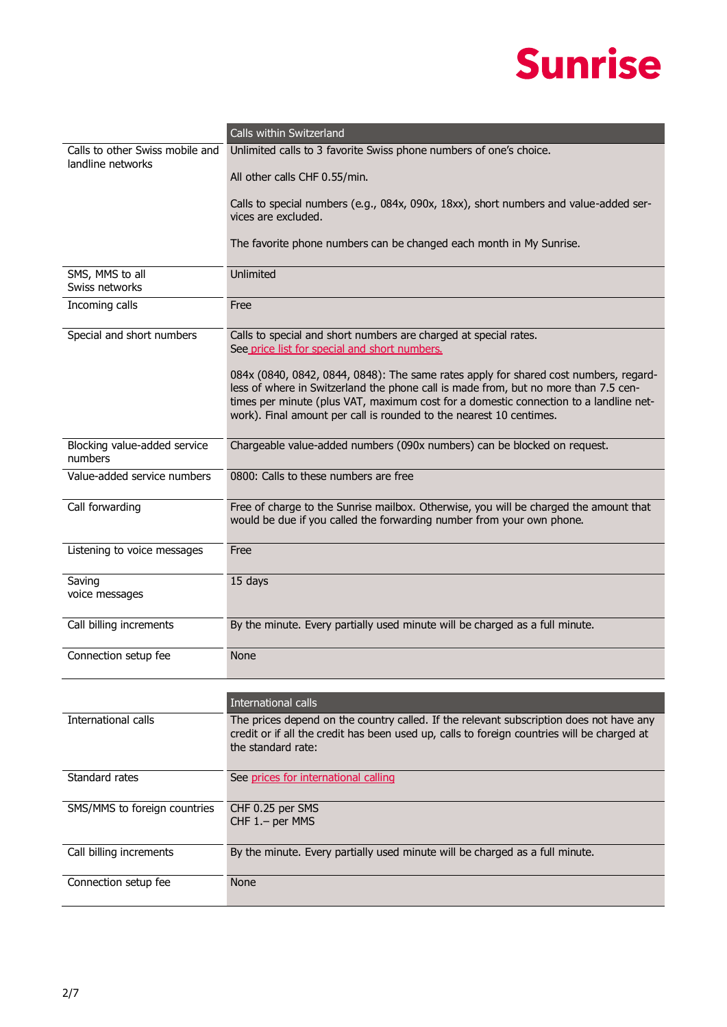|                                         | Calls within Switzerland                                                                                                                                                                                                                                                                                                                    |  |  |
|-----------------------------------------|---------------------------------------------------------------------------------------------------------------------------------------------------------------------------------------------------------------------------------------------------------------------------------------------------------------------------------------------|--|--|
| Calls to other Swiss mobile and         | Unlimited calls to 3 favorite Swiss phone numbers of one's choice.                                                                                                                                                                                                                                                                          |  |  |
| landline networks                       | All other calls CHF 0.55/min.                                                                                                                                                                                                                                                                                                               |  |  |
|                                         | Calls to special numbers (e.g., 084x, 090x, 18xx), short numbers and value-added ser-<br>vices are excluded.                                                                                                                                                                                                                                |  |  |
|                                         | The favorite phone numbers can be changed each month in My Sunrise.                                                                                                                                                                                                                                                                         |  |  |
| SMS, MMS to all<br>Swiss networks       | Unlimited                                                                                                                                                                                                                                                                                                                                   |  |  |
| Incoming calls                          | Free                                                                                                                                                                                                                                                                                                                                        |  |  |
| Special and short numbers               | Calls to special and short numbers are charged at special rates.<br>See price list for special and short numbers.                                                                                                                                                                                                                           |  |  |
|                                         | 084x (0840, 0842, 0844, 0848): The same rates apply for shared cost numbers, regard-<br>less of where in Switzerland the phone call is made from, but no more than 7.5 cen-<br>times per minute (plus VAT, maximum cost for a domestic connection to a landline net-<br>work). Final amount per call is rounded to the nearest 10 centimes. |  |  |
| Blocking value-added service<br>numbers | Chargeable value-added numbers (090x numbers) can be blocked on request.                                                                                                                                                                                                                                                                    |  |  |
| Value-added service numbers             | 0800: Calls to these numbers are free                                                                                                                                                                                                                                                                                                       |  |  |
| Call forwarding                         | Free of charge to the Sunrise mailbox. Otherwise, you will be charged the amount that<br>would be due if you called the forwarding number from your own phone.                                                                                                                                                                              |  |  |
| Listening to voice messages             | Free                                                                                                                                                                                                                                                                                                                                        |  |  |
| Saving<br>voice messages                | 15 days                                                                                                                                                                                                                                                                                                                                     |  |  |
| Call billing increments                 | By the minute. Every partially used minute will be charged as a full minute.                                                                                                                                                                                                                                                                |  |  |
| Connection setup fee                    | <b>None</b>                                                                                                                                                                                                                                                                                                                                 |  |  |
|                                         |                                                                                                                                                                                                                                                                                                                                             |  |  |
|                                         | International calls                                                                                                                                                                                                                                                                                                                         |  |  |
| International calls                     | The prices depend on the country called. If the relevant subscription does not have any<br>credit or if all the credit has been used up, calls to foreign countries will be charged at<br>the standard rate:                                                                                                                                |  |  |
| Standard rates                          | See prices for international calling                                                                                                                                                                                                                                                                                                        |  |  |
| SMS/MMS to foreign countries            | CHF 0.25 per SMS<br>CHF 1.- per MMS                                                                                                                                                                                                                                                                                                         |  |  |
| Call billing increments                 | By the minute. Every partially used minute will be charged as a full minute.                                                                                                                                                                                                                                                                |  |  |
| Connection setup fee                    | None                                                                                                                                                                                                                                                                                                                                        |  |  |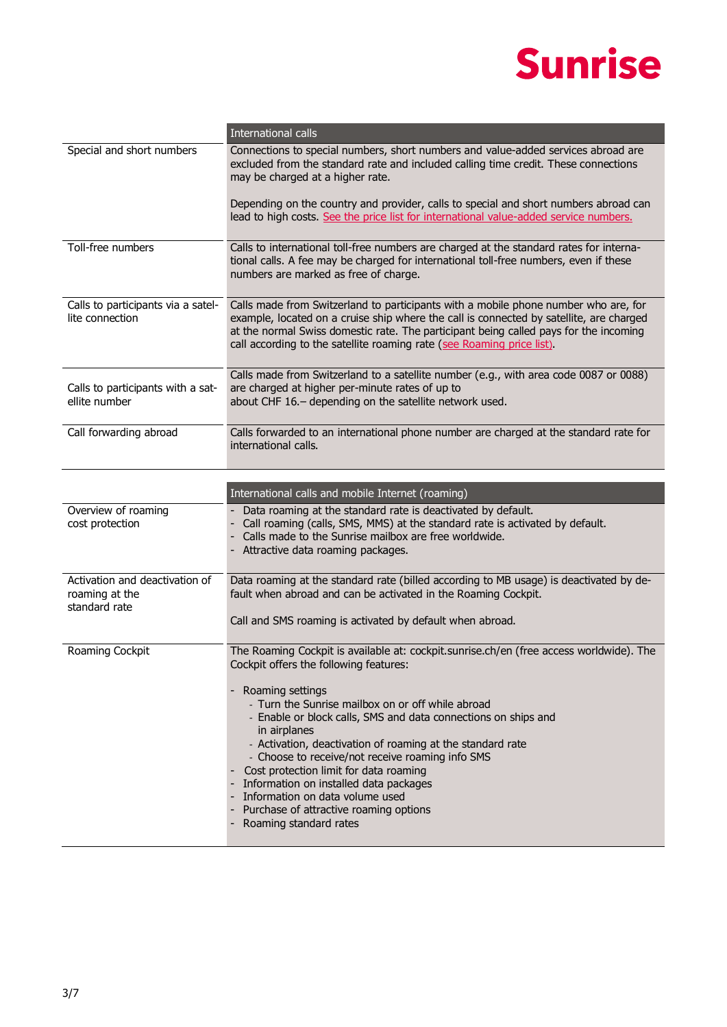|                                                                   | <b>International calls</b>                                                                                                                                                                                                                                                                                                                                                                                                                                               |  |  |  |
|-------------------------------------------------------------------|--------------------------------------------------------------------------------------------------------------------------------------------------------------------------------------------------------------------------------------------------------------------------------------------------------------------------------------------------------------------------------------------------------------------------------------------------------------------------|--|--|--|
| Special and short numbers                                         | Connections to special numbers, short numbers and value-added services abroad are<br>excluded from the standard rate and included calling time credit. These connections<br>may be charged at a higher rate.                                                                                                                                                                                                                                                             |  |  |  |
|                                                                   | Depending on the country and provider, calls to special and short numbers abroad can<br>lead to high costs. See the price list for international value-added service numbers.                                                                                                                                                                                                                                                                                            |  |  |  |
| Toll-free numbers                                                 | Calls to international toll-free numbers are charged at the standard rates for interna-<br>tional calls. A fee may be charged for international toll-free numbers, even if these<br>numbers are marked as free of charge.                                                                                                                                                                                                                                                |  |  |  |
| Calls to participants via a satel-<br>lite connection             | Calls made from Switzerland to participants with a mobile phone number who are, for<br>example, located on a cruise ship where the call is connected by satellite, are charged<br>at the normal Swiss domestic rate. The participant being called pays for the incoming<br>call according to the satellite roaming rate (see Roaming price list).                                                                                                                        |  |  |  |
| Calls to participants with a sat-<br>ellite number                | Calls made from Switzerland to a satellite number (e.g., with area code 0087 or 0088)<br>are charged at higher per-minute rates of up to<br>about CHF 16. - depending on the satellite network used.                                                                                                                                                                                                                                                                     |  |  |  |
| Call forwarding abroad                                            | Calls forwarded to an international phone number are charged at the standard rate for<br>international calls.                                                                                                                                                                                                                                                                                                                                                            |  |  |  |
|                                                                   | International calls and mobile Internet (roaming)                                                                                                                                                                                                                                                                                                                                                                                                                        |  |  |  |
| Overview of roaming<br>cost protection                            | - Data roaming at the standard rate is deactivated by default.<br>- Call roaming (calls, SMS, MMS) at the standard rate is activated by default.<br>Calls made to the Sunrise mailbox are free worldwide.<br>- Attractive data roaming packages.                                                                                                                                                                                                                         |  |  |  |
| Activation and deactivation of<br>roaming at the<br>standard rate | Data roaming at the standard rate (billed according to MB usage) is deactivated by de-<br>fault when abroad and can be activated in the Roaming Cockpit.                                                                                                                                                                                                                                                                                                                 |  |  |  |
|                                                                   | Call and SMS roaming is activated by default when abroad.                                                                                                                                                                                                                                                                                                                                                                                                                |  |  |  |
| Roaming Cockpit                                                   | The Roaming Cockpit is available at: cockpit.sunrise.ch/en (free access worldwide). The<br>Cockpit offers the following features:                                                                                                                                                                                                                                                                                                                                        |  |  |  |
|                                                                   | - Roaming settings<br>- Turn the Sunrise mailbox on or off while abroad<br>- Enable or block calls, SMS and data connections on ships and<br>in airplanes<br>- Activation, deactivation of roaming at the standard rate<br>- Choose to receive/not receive roaming info SMS<br>Cost protection limit for data roaming<br>Information on installed data packages<br>Information on data volume used<br>Purchase of attractive roaming options<br>- Roaming standard rates |  |  |  |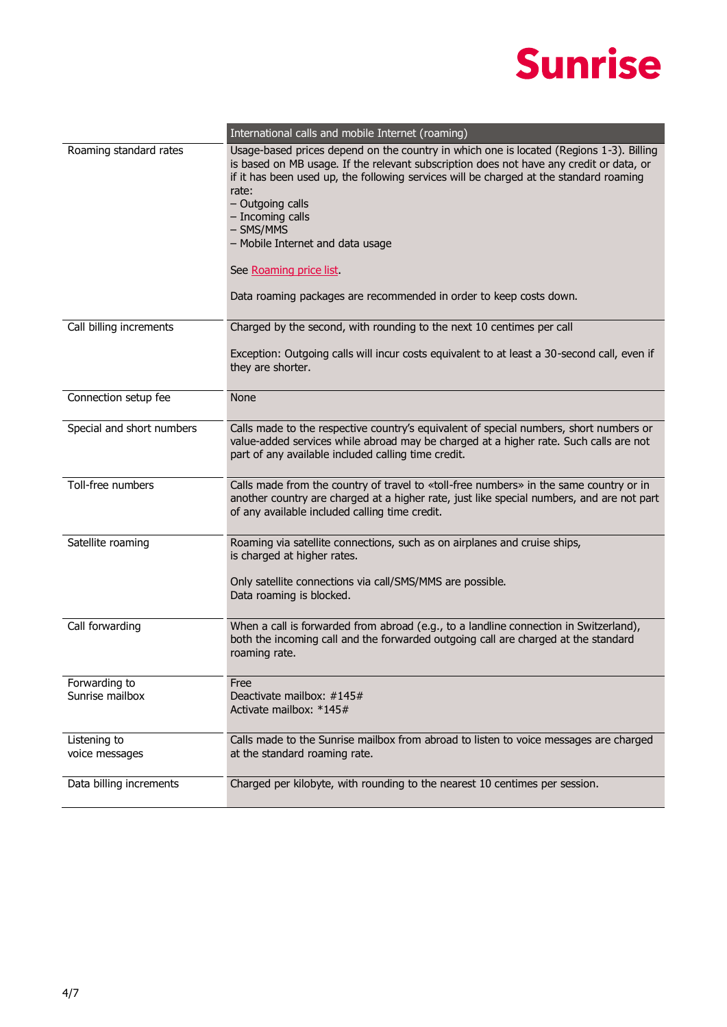|                                  | International calls and mobile Internet (roaming)                                                                                                                                                                                                                                                                                                                                                                                                                              |  |  |
|----------------------------------|--------------------------------------------------------------------------------------------------------------------------------------------------------------------------------------------------------------------------------------------------------------------------------------------------------------------------------------------------------------------------------------------------------------------------------------------------------------------------------|--|--|
| Roaming standard rates           | Usage-based prices depend on the country in which one is located (Regions 1-3). Billing<br>is based on MB usage. If the relevant subscription does not have any credit or data, or<br>if it has been used up, the following services will be charged at the standard roaming<br>rate:<br>- Outgoing calls<br>- Incoming calls<br>- SMS/MMS<br>- Mobile Internet and data usage<br>See Roaming price list<br>Data roaming packages are recommended in order to keep costs down. |  |  |
| Call billing increments          | Charged by the second, with rounding to the next 10 centimes per call                                                                                                                                                                                                                                                                                                                                                                                                          |  |  |
|                                  | Exception: Outgoing calls will incur costs equivalent to at least a 30-second call, even if<br>they are shorter.                                                                                                                                                                                                                                                                                                                                                               |  |  |
| Connection setup fee             | <b>None</b>                                                                                                                                                                                                                                                                                                                                                                                                                                                                    |  |  |
| Special and short numbers        | Calls made to the respective country's equivalent of special numbers, short numbers or<br>value-added services while abroad may be charged at a higher rate. Such calls are not<br>part of any available included calling time credit.                                                                                                                                                                                                                                         |  |  |
| Toll-free numbers                | Calls made from the country of travel to «toll-free numbers» in the same country or in<br>another country are charged at a higher rate, just like special numbers, and are not part<br>of any available included calling time credit.                                                                                                                                                                                                                                          |  |  |
| Satellite roaming                | Roaming via satellite connections, such as on airplanes and cruise ships,<br>is charged at higher rates.<br>Only satellite connections via call/SMS/MMS are possible.                                                                                                                                                                                                                                                                                                          |  |  |
|                                  | Data roaming is blocked.                                                                                                                                                                                                                                                                                                                                                                                                                                                       |  |  |
| Call forwarding                  | When a call is forwarded from abroad (e.g., to a landline connection in Switzerland),<br>both the incoming call and the forwarded outgoing call are charged at the standard<br>roaming rate.                                                                                                                                                                                                                                                                                   |  |  |
| Forwarding to<br>Sunrise mailbox | Free<br>Deactivate mailbox: #145#<br>Activate mailbox: *145#                                                                                                                                                                                                                                                                                                                                                                                                                   |  |  |
| Listening to<br>voice messages   | Calls made to the Sunrise mailbox from abroad to listen to voice messages are charged<br>at the standard roaming rate.                                                                                                                                                                                                                                                                                                                                                         |  |  |
| Data billing increments          | Charged per kilobyte, with rounding to the nearest 10 centimes per session.                                                                                                                                                                                                                                                                                                                                                                                                    |  |  |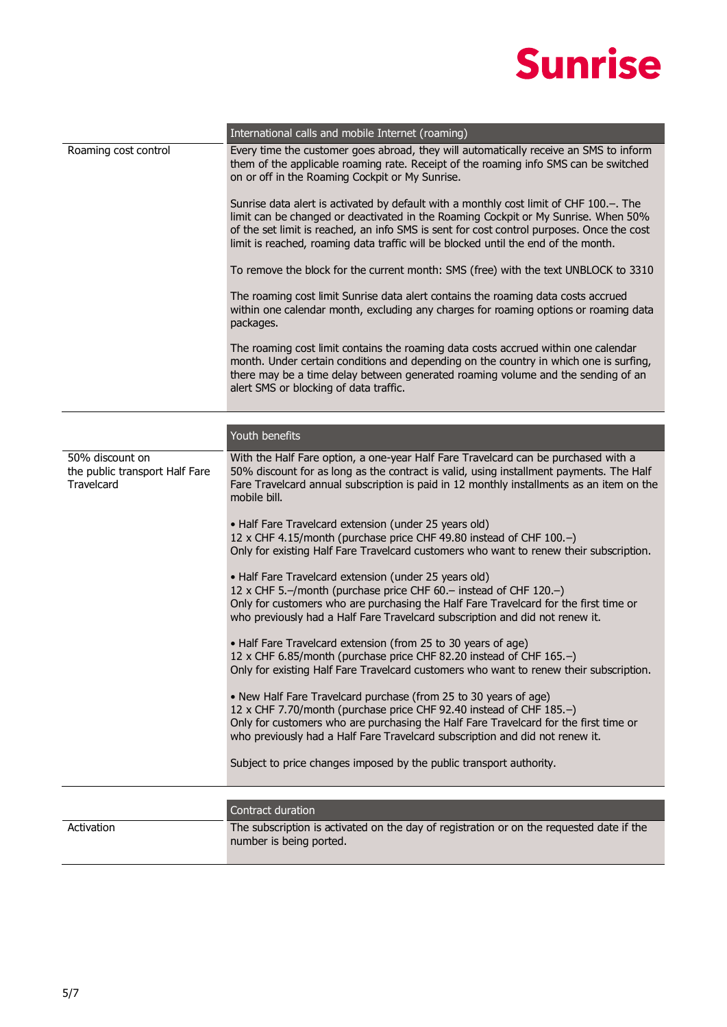|                                                                 | International calls and mobile Internet (roaming)                                                                                                                                                                                                                                                                                                               |  |
|-----------------------------------------------------------------|-----------------------------------------------------------------------------------------------------------------------------------------------------------------------------------------------------------------------------------------------------------------------------------------------------------------------------------------------------------------|--|
| Roaming cost control                                            | Every time the customer goes abroad, they will automatically receive an SMS to inform<br>them of the applicable roaming rate. Receipt of the roaming info SMS can be switched<br>on or off in the Roaming Cockpit or My Sunrise.                                                                                                                                |  |
|                                                                 | Sunrise data alert is activated by default with a monthly cost limit of CHF 100.-. The<br>limit can be changed or deactivated in the Roaming Cockpit or My Sunrise. When 50%<br>of the set limit is reached, an info SMS is sent for cost control purposes. Once the cost<br>limit is reached, roaming data traffic will be blocked until the end of the month. |  |
|                                                                 | To remove the block for the current month: SMS (free) with the text UNBLOCK to 3310                                                                                                                                                                                                                                                                             |  |
|                                                                 | The roaming cost limit Sunrise data alert contains the roaming data costs accrued<br>within one calendar month, excluding any charges for roaming options or roaming data<br>packages.                                                                                                                                                                          |  |
|                                                                 | The roaming cost limit contains the roaming data costs accrued within one calendar<br>month. Under certain conditions and depending on the country in which one is surfing,<br>there may be a time delay between generated roaming volume and the sending of an<br>alert SMS or blocking of data traffic.                                                       |  |
|                                                                 | Youth benefits                                                                                                                                                                                                                                                                                                                                                  |  |
| 50% discount on<br>the public transport Half Fare<br>Travelcard | With the Half Fare option, a one-year Half Fare Travelcard can be purchased with a<br>50% discount for as long as the contract is valid, using installment payments. The Half<br>Fare Travelcard annual subscription is paid in 12 monthly installments as an item on the<br>mobile bill.                                                                       |  |
|                                                                 | • Half Fare Travelcard extension (under 25 years old)<br>12 x CHF 4.15/month (purchase price CHF 49.80 instead of CHF 100.-)<br>Only for existing Half Fare Travelcard customers who want to renew their subscription.                                                                                                                                          |  |
|                                                                 | • Half Fare Travelcard extension (under 25 years old)<br>12 x CHF 5.-/month (purchase price CHF 60.- instead of CHF 120.-)<br>Only for customers who are purchasing the Half Fare Travelcard for the first time or<br>who previously had a Half Fare Travelcard subscription and did not renew it.                                                              |  |
|                                                                 | • Half Fare Travelcard extension (from 25 to 30 years of age)<br>12 x CHF 6.85/month (purchase price CHF 82.20 instead of CHF 165.-)<br>Only for existing Half Fare Travelcard customers who want to renew their subscription.                                                                                                                                  |  |
|                                                                 | • New Half Fare Travelcard purchase (from 25 to 30 years of age)<br>12 x CHF 7.70/month (purchase price CHF 92.40 instead of CHF 185.-)<br>Only for customers who are purchasing the Half Fare Travelcard for the first time or<br>who previously had a Half Fare Travelcard subscription and did not renew it.                                                 |  |
|                                                                 | Subject to price changes imposed by the public transport authority.                                                                                                                                                                                                                                                                                             |  |
|                                                                 | Contract duration                                                                                                                                                                                                                                                                                                                                               |  |
| Activation                                                      | The subscription is activated on the day of registration or on the requested date if the                                                                                                                                                                                                                                                                        |  |
|                                                                 | number is being ported.                                                                                                                                                                                                                                                                                                                                         |  |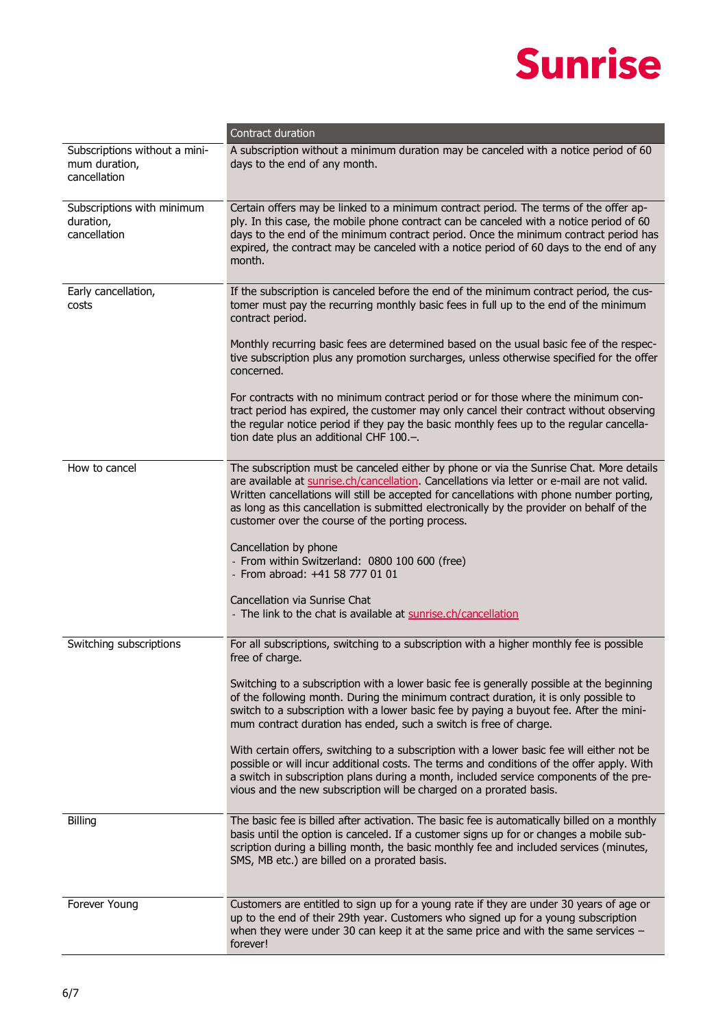|                                                                | Contract duration                                                                                                                                                                                                                                                                                                                                                                                                                    |  |  |
|----------------------------------------------------------------|--------------------------------------------------------------------------------------------------------------------------------------------------------------------------------------------------------------------------------------------------------------------------------------------------------------------------------------------------------------------------------------------------------------------------------------|--|--|
| Subscriptions without a mini-<br>mum duration,<br>cancellation | A subscription without a minimum duration may be canceled with a notice period of 60<br>days to the end of any month.                                                                                                                                                                                                                                                                                                                |  |  |
| Subscriptions with minimum<br>duration,<br>cancellation        | Certain offers may be linked to a minimum contract period. The terms of the offer ap-<br>ply. In this case, the mobile phone contract can be canceled with a notice period of 60<br>days to the end of the minimum contract period. Once the minimum contract period has<br>expired, the contract may be canceled with a notice period of 60 days to the end of any<br>month.                                                        |  |  |
| Early cancellation,<br>costs                                   | If the subscription is canceled before the end of the minimum contract period, the cus-<br>tomer must pay the recurring monthly basic fees in full up to the end of the minimum<br>contract period.                                                                                                                                                                                                                                  |  |  |
|                                                                | Monthly recurring basic fees are determined based on the usual basic fee of the respec-<br>tive subscription plus any promotion surcharges, unless otherwise specified for the offer<br>concerned.                                                                                                                                                                                                                                   |  |  |
|                                                                | For contracts with no minimum contract period or for those where the minimum con-<br>tract period has expired, the customer may only cancel their contract without observing<br>the regular notice period if they pay the basic monthly fees up to the regular cancella-<br>tion date plus an additional CHF 100 .-.                                                                                                                 |  |  |
| How to cancel                                                  | The subscription must be canceled either by phone or via the Sunrise Chat. More details<br>are available at sunrise.ch/cancellation. Cancellations via letter or e-mail are not valid.<br>Written cancellations will still be accepted for cancellations with phone number porting,<br>as long as this cancellation is submitted electronically by the provider on behalf of the<br>customer over the course of the porting process. |  |  |
|                                                                | Cancellation by phone<br>- From within Switzerland: 0800 100 600 (free)<br>- From abroad: +41 58 777 01 01                                                                                                                                                                                                                                                                                                                           |  |  |
|                                                                | Cancellation via Sunrise Chat<br>- The link to the chat is available at sunrise.ch/cancellation                                                                                                                                                                                                                                                                                                                                      |  |  |
| Switching subscriptions                                        | For all subscriptions, switching to a subscription with a higher monthly fee is possible<br>free of charge.                                                                                                                                                                                                                                                                                                                          |  |  |
|                                                                | Switching to a subscription with a lower basic fee is generally possible at the beginning<br>of the following month. During the minimum contract duration, it is only possible to<br>switch to a subscription with a lower basic fee by paying a buyout fee. After the mini-<br>mum contract duration has ended, such a switch is free of charge.                                                                                    |  |  |
|                                                                | With certain offers, switching to a subscription with a lower basic fee will either not be<br>possible or will incur additional costs. The terms and conditions of the offer apply. With<br>a switch in subscription plans during a month, included service components of the pre-<br>vious and the new subscription will be charged on a prorated basis.                                                                            |  |  |
| <b>Billing</b>                                                 | The basic fee is billed after activation. The basic fee is automatically billed on a monthly<br>basis until the option is canceled. If a customer signs up for or changes a mobile sub-<br>scription during a billing month, the basic monthly fee and included services (minutes,<br>SMS, MB etc.) are billed on a prorated basis.                                                                                                  |  |  |
| Forever Young                                                  | Customers are entitled to sign up for a young rate if they are under 30 years of age or<br>up to the end of their 29th year. Customers who signed up for a young subscription<br>when they were under 30 can keep it at the same price and with the same services $-$<br>forever!                                                                                                                                                    |  |  |